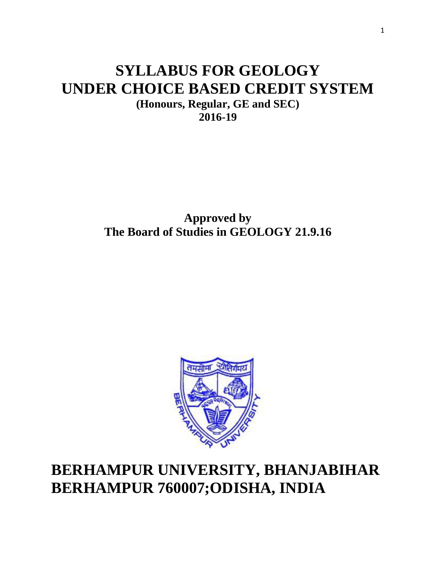# **SYLLABUS FOR GEOLOGY UNDER CHOICE BASED CREDIT SYSTEM**

**(Honours, Regular, GE and SEC) 2016-19**

**Approved by The Board of Studies in GEOLOGY 21.9.16**



# **BERHAMPUR UNIVERSITY, BHANJABIHAR BERHAMPUR 760007;ODISHA, INDIA**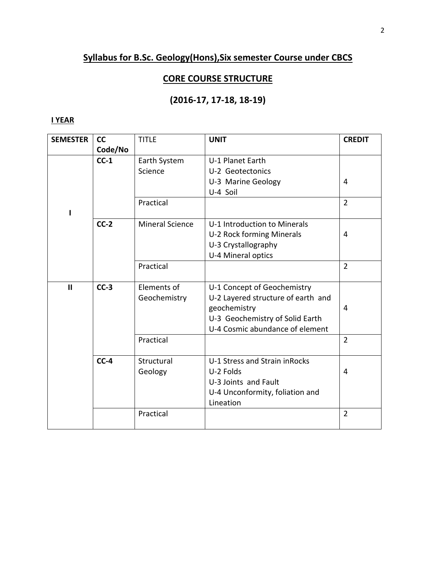## **Syllabus for B.Sc. Geology(Hons),Six semester Course under CBCS**

## **CORE COURSE STRUCTURE**

## **(2016-17, 17-18, 18-19)**

## **I YEAR**

| <b>SEMESTER</b> | cc      | <b>TITLE</b>           | <b>UNIT</b>                        | <b>CREDIT</b>  |
|-----------------|---------|------------------------|------------------------------------|----------------|
|                 | Code/No |                        |                                    |                |
|                 | $CC-1$  | Earth System           | U-1 Planet Earth                   |                |
|                 |         | Science                | U-2 Geotectonics                   |                |
|                 |         |                        | U-3 Marine Geology                 | 4              |
|                 |         |                        | U-4 Soil                           |                |
|                 |         | Practical              |                                    | $\overline{2}$ |
|                 | $CC-2$  | <b>Mineral Science</b> | U-1 Introduction to Minerals       |                |
|                 |         |                        | U-2 Rock forming Minerals          | 4              |
|                 |         |                        | U-3 Crystallography                |                |
|                 |         |                        | U-4 Mineral optics                 |                |
|                 |         | Practical              |                                    | $\overline{2}$ |
|                 |         |                        |                                    |                |
| $\mathbf{I}$    | $CC-3$  | Elements of            | U-1 Concept of Geochemistry        |                |
|                 |         | Geochemistry           | U-2 Layered structure of earth and |                |
|                 |         |                        | geochemistry                       | 4              |
|                 |         |                        | U-3 Geochemistry of Solid Earth    |                |
|                 |         |                        | U-4 Cosmic abundance of element    |                |
|                 |         | Practical              |                                    | $\overline{2}$ |
|                 | $CC-4$  | Structural             | U-1 Stress and Strain in Rocks     |                |
|                 |         | Geology                | U-2 Folds                          | 4              |
|                 |         |                        | U-3 Joints and Fault               |                |
|                 |         |                        | U-4 Unconformity, foliation and    |                |
|                 |         |                        | Lineation                          |                |
|                 |         | Practical              |                                    | $\overline{2}$ |
|                 |         |                        |                                    |                |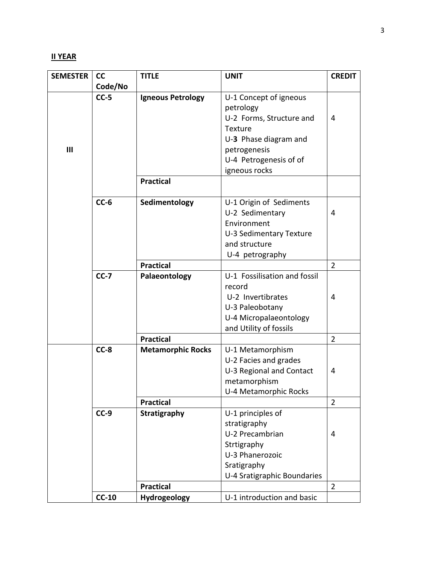## **II YEAR**

| <b>SEMESTER</b> | cc      | <b>TITLE</b>             | <b>UNIT</b>                  | <b>CREDIT</b>  |
|-----------------|---------|--------------------------|------------------------------|----------------|
|                 | Code/No |                          |                              |                |
|                 | $CC-5$  | <b>Igneous Petrology</b> | U-1 Concept of igneous       |                |
|                 |         |                          | petrology                    |                |
|                 |         |                          | U-2 Forms, Structure and     | 4              |
|                 |         |                          | Texture                      |                |
|                 |         |                          | U-3 Phase diagram and        |                |
| III             |         |                          | petrogenesis                 |                |
|                 |         |                          | U-4 Petrogenesis of of       |                |
|                 |         |                          | igneous rocks                |                |
|                 |         | <b>Practical</b>         |                              |                |
|                 |         |                          |                              |                |
|                 | $CC-6$  | Sedimentology            | U-1 Origin of Sediments      |                |
|                 |         |                          | U-2 Sedimentary              | 4              |
|                 |         |                          | Environment                  |                |
|                 |         |                          | U-3 Sedimentary Texture      |                |
|                 |         |                          | and structure                |                |
|                 |         |                          | U-4 petrography              |                |
|                 |         | <b>Practical</b>         |                              | $\overline{2}$ |
|                 | $CC-7$  | Palaeontology            | U-1 Fossilisation and fossil |                |
|                 |         |                          | record                       |                |
|                 |         |                          | U-2 Invertibrates            | 4              |
|                 |         |                          | U-3 Paleobotany              |                |
|                 |         |                          | U-4 Micropalaeontology       |                |
|                 |         |                          | and Utility of fossils       |                |
|                 |         | <b>Practical</b>         |                              | $\overline{2}$ |
|                 | $CC-8$  | <b>Metamorphic Rocks</b> | U-1 Metamorphism             |                |
|                 |         |                          | U-2 Facies and grades        |                |
|                 |         |                          | U-3 Regional and Contact     | 4              |
|                 |         |                          | metamorphism                 |                |
|                 |         |                          | U-4 Metamorphic Rocks        |                |
|                 |         | <b>Practical</b>         |                              | $\overline{2}$ |
|                 | $CC-9$  | Stratigraphy             | U-1 principles of            |                |
|                 |         |                          | stratigraphy                 |                |
|                 |         |                          | U-2 Precambrian              | 4              |
|                 |         |                          | Strtigraphy                  |                |
|                 |         |                          | U-3 Phanerozoic              |                |
|                 |         |                          | Sratigraphy                  |                |
|                 |         |                          | U-4 Sratigraphic Boundaries  |                |
|                 |         | <b>Practical</b>         |                              | 2              |
|                 | $CC-10$ | Hydrogeology             | U-1 introduction and basic   |                |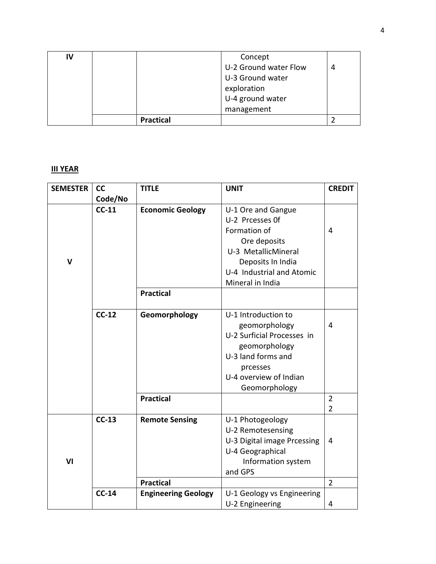| IV |                  | Concept               |   |
|----|------------------|-----------------------|---|
|    |                  | U-2 Ground water Flow | 4 |
|    |                  | U-3 Ground water      |   |
|    |                  | exploration           |   |
|    |                  | U-4 ground water      |   |
|    |                  | management            |   |
|    | <b>Practical</b> |                       |   |

## **III YEAR**

| <b>SEMESTER</b> | cc      | <b>TITLE</b>               | <b>UNIT</b>                 | <b>CREDIT</b>  |
|-----------------|---------|----------------------------|-----------------------------|----------------|
|                 | Code/No |                            |                             |                |
|                 | $CC-11$ | <b>Economic Geology</b>    | U-1 Ore and Gangue          |                |
|                 |         |                            | U-2 Prcesses Of             |                |
|                 |         |                            | Formation of                | $\overline{4}$ |
|                 |         |                            | Ore deposits                |                |
|                 |         |                            | U-3 MetallicMineral         |                |
| V               |         |                            | Deposits In India           |                |
|                 |         |                            | U-4 Industrial and Atomic   |                |
|                 |         |                            | Mineral in India            |                |
|                 |         | <b>Practical</b>           |                             |                |
|                 |         |                            |                             |                |
|                 | $CC-12$ | Geomorphology              | U-1 Introduction to         |                |
|                 |         |                            | geomorphology               | $\overline{4}$ |
|                 |         |                            | U-2 Surficial Processes in  |                |
|                 |         |                            | geomorphology               |                |
|                 |         |                            | U-3 land forms and          |                |
|                 |         |                            | prcesses                    |                |
|                 |         |                            | U-4 overview of Indian      |                |
|                 |         |                            | Geomorphology               |                |
|                 |         | <b>Practical</b>           |                             | $\overline{2}$ |
|                 |         |                            |                             | $\overline{2}$ |
|                 | $CC-13$ | <b>Remote Sensing</b>      | U-1 Photogeology            |                |
|                 |         |                            | U-2 Remotesensing           |                |
|                 |         |                            | U-3 Digital image Prcessing | 4              |
|                 |         |                            | U-4 Geographical            |                |
| VI              |         |                            | Information system          |                |
|                 |         |                            | and GPS                     |                |
|                 |         | <b>Practical</b>           |                             | $\overline{2}$ |
|                 | $CC-14$ | <b>Engineering Geology</b> | U-1 Geology vs Engineering  |                |
|                 |         |                            | U-2 Engineering             | $\overline{4}$ |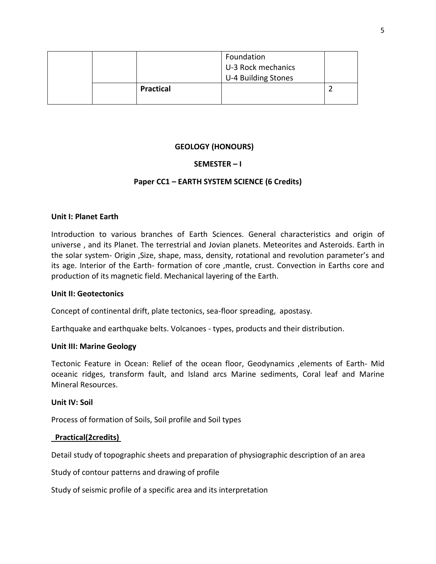|  |                  | Foundation<br>U-3 Rock mechanics<br>U-4 Building Stones |  |
|--|------------------|---------------------------------------------------------|--|
|  | <b>Practical</b> |                                                         |  |

#### **GEOLOGY (HONOURS)**

#### **SEMESTER – I**

#### **Paper CC1 – EARTH SYSTEM SCIENCE (6 Credits)**

#### **Unit I: Planet Earth**

Introduction to various branches of Earth Sciences. General characteristics and origin of universe , and its Planet. The terrestrial and Jovian planets. Meteorites and Asteroids. Earth in the solar system- Origin ,Size, shape, mass, density, rotational and revolution parameter's and its age. Interior of the Earth- formation of core ,mantle, crust. Convection in Earths core and production of its magnetic field. Mechanical layering of the Earth.

#### **Unit II: Geotectonics**

Concept of continental drift, plate tectonics, sea-floor spreading, apostasy.

Earthquake and earthquake belts. Volcanoes - types, products and their distribution.

#### **Unit III: Marine Geology**

Tectonic Feature in Ocean: Relief of the ocean floor, Geodynamics ,elements of Earth- Mid oceanic ridges, transform fault, and Island arcs Marine sediments, Coral leaf and Marine Mineral Resources.

#### **Unit IV: Soil**

Process of formation of Soils, Soil profile and Soil types

#### **Practical(2credits)**

Detail study of topographic sheets and preparation of physiographic description of an area

Study of contour patterns and drawing of profile

Study of seismic profile of a specific area and its interpretation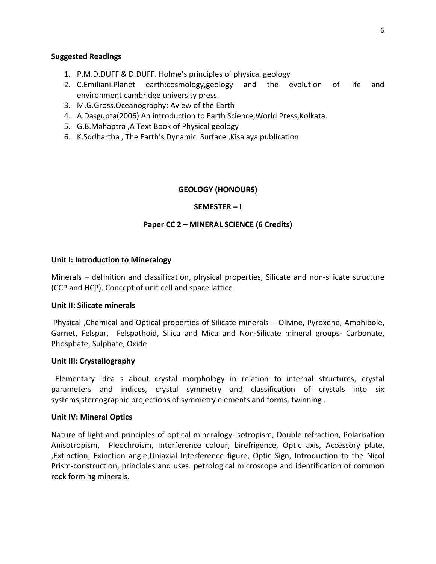#### **Suggested Readings**

- 1. P.M.D.DUFF & D.DUFF. Holme's principles of physical geology
- 2. C.Emiliani.Planet earth:cosmology,geology and the evolution of life and environment.cambridge university press.
- 3. M.G.Gross.Oceanography: Aview of the Earth
- 4. A.Dasgupta(2006) An introduction to Earth Science,World Press,Kolkata.
- 5. G.B.Mahaptra ,A Text Book of Physical geology
- 6. K.Sddhartha , The Earth's Dynamic Surface ,Kisalaya publication

#### **GEOLOGY (HONOURS)**

#### **SEMESTER – I**

#### **Paper CC 2 – MINERAL SCIENCE (6 Credits)**

#### **Unit I: Introduction to Mineralogy**

Minerals – definition and classification, physical properties, Silicate and non-silicate structure (CCP and HCP). Concept of unit cell and space lattice

#### **Unit II: Silicate minerals**

Physical ,Chemical and Optical properties of Silicate minerals – Olivine, Pyroxene, Amphibole, Garnet, Felspar, Felspathoid, Silica and Mica and Non-Silicate mineral groups- Carbonate, Phosphate, Sulphate, Oxide

#### **Unit III: Crystallography**

 Elementary idea s about crystal morphology in relation to internal structures, crystal parameters and indices, crystal symmetry and classification of crystals into six systems,stereographic projections of symmetry elements and forms, twinning .

#### **Unit IV: Mineral Optics**

Nature of light and principles of optical mineralogy-Isotropism, Double refraction, Polarisation Anisotropism, Pleochroism, Interference colour, birefrigence, Optic axis, Accessory plate, ,Extinction, Exinction angle,Uniaxial Interference figure, Optic Sign, Introduction to the Nicol Prism-construction, principles and uses. petrological microscope and identification of common rock forming minerals.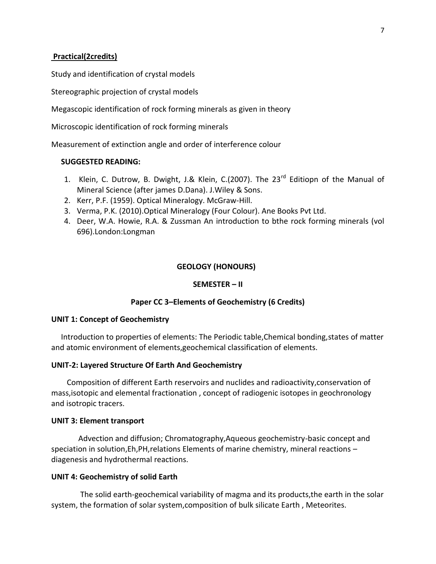#### **Practical(2credits)**

Study and identification of crystal models

Stereographic projection of crystal models

Megascopic identification of rock forming minerals as given in theory

Microscopic identification of rock forming minerals

Measurement of extinction angle and order of interference colour

#### **SUGGESTED READING:**

- 1. Klein, C. Dutrow, B. Dwight, J.& Klein, C.(2007). The 23<sup>rd</sup> Editiopn of the Manual of Mineral Science (after james D.Dana). J.Wiley & Sons.
- 2. Kerr, P.F. (1959). Optical Mineralogy. McGraw-Hill.
- 3. Verma, P.K. (2010).Optical Mineralogy (Four Colour). Ane Books Pvt Ltd.
- 4. Deer, W.A. Howie, R.A. & Zussman An introduction to bthe rock forming minerals (vol 696).London:Longman

#### **GEOLOGY (HONOURS)**

#### **SEMESTER – II**

#### **Paper CC 3–Elements of Geochemistry (6 Credits)**

#### **UNIT 1: Concept of Geochemistry**

 Introduction to properties of elements: The Periodic table,Chemical bonding,states of matter and atomic environment of elements,geochemical classification of elements.

#### **UNIT-2: Layered Structure Of Earth And Geochemistry**

 Composition of different Earth reservoirs and nuclides and radioactivity,conservation of mass,isotopic and elemental fractionation , concept of radiogenic isotopes in geochronology and isotropic tracers.

#### **UNIT 3: Element transport**

 Advection and diffusion; Chromatography,Aqueous geochemistry-basic concept and speciation in solution,Eh,PH,relations Elements of marine chemistry, mineral reactions – diagenesis and hydrothermal reactions.

#### **UNIT 4: Geochemistry of solid Earth**

 The solid earth-geochemical variability of magma and its products,the earth in the solar system, the formation of solar system,composition of bulk silicate Earth , Meteorites.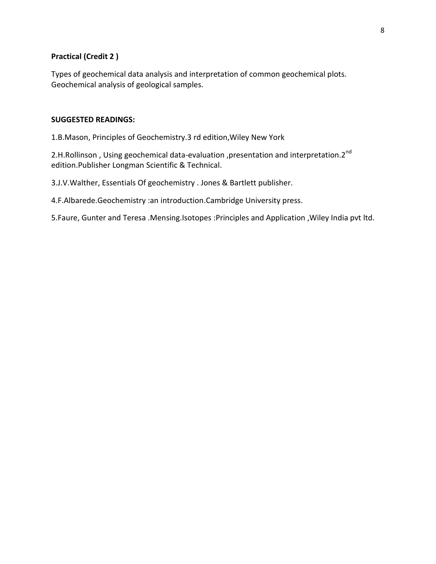### **Practical (Credit 2 )**

Types of geochemical data analysis and interpretation of common geochemical plots. Geochemical analysis of geological samples.

#### **SUGGESTED READINGS:**

1.B.Mason, Principles of Geochemistry.3 rd edition,Wiley New York

2.H.Rollinson, Using geochemical data-evaluation, presentation and interpretation.2<sup>nd</sup> edition.Publisher Longman Scientific & Technical.

3.J.V.Walther, Essentials Of geochemistry . Jones & Bartlett publisher.

4.F.Albarede.Geochemistry :an introduction.Cambridge University press.

5.Faure, Gunter and Teresa .Mensing.Isotopes :Principles and Application ,Wiley India pvt ltd.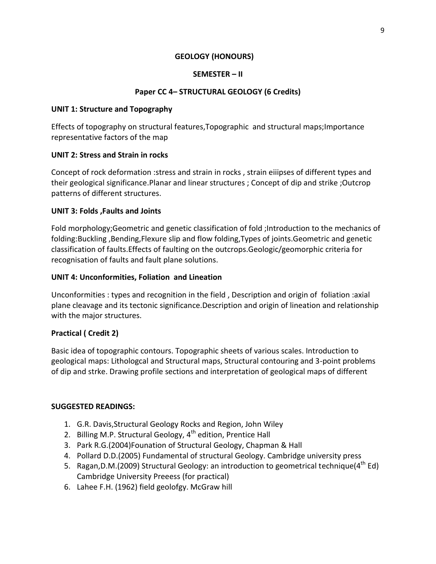## **GEOLOGY (HONOURS)**

## **SEMESTER – II**

## **Paper CC 4– STRUCTURAL GEOLOGY (6 Credits)**

## **UNIT 1: Structure and Topography**

Effects of topography on structural features,Topographic and structural maps;Importance representative factors of the map

## **UNIT 2: Stress and Strain in rocks**

Concept of rock deformation :stress and strain in rocks , strain eiiipses of different types and their geological significance.Planar and linear structures ; Concept of dip and strike ;Outcrop patterns of different structures.

## **UNIT 3: Folds ,Faults and Joints**

Fold morphology;Geometric and genetic classification of fold ;Introduction to the mechanics of folding:Buckling ,Bending,Flexure slip and flow folding,Types of joints.Geometric and genetic classification of faults.Effects of faulting on the outcrops.Geologic/geomorphic criteria for recognisation of faults and fault plane solutions.

## **UNIT 4: Unconformities, Foliation and Lineation**

Unconformities : types and recognition in the field , Description and origin of foliation :axial plane cleavage and its tectonic significance.Description and origin of lineation and relationship with the major structures.

## **Practical ( Credit 2)**

Basic idea of topographic contours. Topographic sheets of various scales. Introduction to geological maps: Lithologcal and Structural maps, Structural contouring and 3-point problems of dip and strke. Drawing profile sections and interpretation of geological maps of different

## **SUGGESTED READINGS:**

- 1. G.R. Davis,Structural Geology Rocks and Region, John Wiley
- 2. Billing M.P. Structural Geology, 4<sup>th</sup> edition, Prentice Hall
- 3. Park R.G.(2004)Founation of Structural Geology, Chapman & Hall
- 4. Pollard D.D.(2005) Fundamental of structural Geology. Cambridge university press
- 5. Ragan, D.M. (2009) Structural Geology: an introduction to geometrical technique ( $4<sup>th</sup> Ed$ ) Cambridge University Preeess (for practical)
- 6. Lahee F.H. (1962) field geolofgy. McGraw hill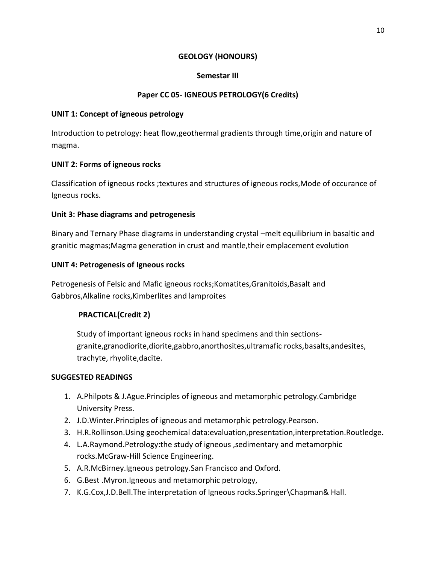## **GEOLOGY (HONOURS)**

## **Semestar III**

## **Paper CC 05- IGNEOUS PETROLOGY(6 Credits)**

### **UNIT 1: Concept of igneous petrology**

Introduction to petrology: heat flow,geothermal gradients through time,origin and nature of magma.

## **UNIT 2: Forms of igneous rocks**

Classification of igneous rocks ;textures and structures of igneous rocks,Mode of occurance of Igneous rocks.

## **Unit 3: Phase diagrams and petrogenesis**

Binary and Ternary Phase diagrams in understanding crystal –melt equilibrium in basaltic and granitic magmas;Magma generation in crust and mantle,their emplacement evolution

## **UNIT 4: Petrogenesis of Igneous rocks**

Petrogenesis of Felsic and Mafic igneous rocks;Komatites,Granitoids,Basalt and Gabbros,Alkaline rocks,Kimberlites and lamproites

## **PRACTICAL(Credit 2)**

Study of important igneous rocks in hand specimens and thin sectionsgranite,granodiorite,diorite,gabbro,anorthosites,ultramafic rocks,basalts,andesites, trachyte, rhyolite,dacite.

#### **SUGGESTED READINGS**

- 1. A.Philpots & J.Ague.Principles of igneous and metamorphic petrology.Cambridge University Press.
- 2. J.D.Winter.Principles of igneous and metamorphic petrology.Pearson.
- 3. H.R.Rollinson.Using geochemical data:evaluation,presentation,interpretation.Routledge.
- 4. L.A.Raymond.Petrology:the study of igneous ,sedimentary and metamorphic rocks.McGraw-Hill Science Engineering.
- 5. A.R.McBirney.Igneous petrology.San Francisco and Oxford.
- 6. G.Best .Myron.Igneous and metamorphic petrology,
- 7. K.G.Cox,J.D.Bell.The interpretation of Igneous rocks.Springer\Chapman& Hall.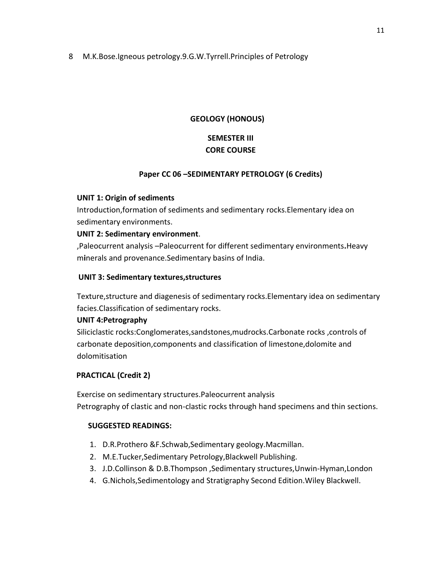8 M.K.Bose.Igneous petrology.9.G.W.Tyrrell.Principles of Petrology

## **GEOLOGY (HONOUS)**

## **SEMESTER III CORE COURSE**

## **Paper CC 06 –SEDIMENTARY PETROLOGY (6 Credits)**

## **UNIT 1: Origin of sediments**

Introduction,formation of sediments and sedimentary rocks.Elementary idea on sedimentary environments.

## **UNIT 2: Sedimentary environment**.

,Paleocurrent analysis –Paleocurrent for different sedimentary environments**.**Heavy m**i**nerals and provenance.Sedimentary basins of India.

## **UNIT 3: Sedimentary textures,structures**

Texture,structure and diagenesis of sedimentary rocks.Elementary idea on sedimentary facies.Classification of sedimentary rocks.

## **UNIT 4:Petrography**

Siliciclastic rocks:Conglomerates,sandstones,mudrocks.Carbonate rocks ,controls of carbonate deposition,components and classification of limestone,dolomite and dolomitisation

## **PRACTICAL (Credit 2)**

Exercise on sedimentary structures.Paleocurrent analysis Petrography of clastic and non-clastic rocks through hand specimens and thin sections.

#### **SUGGESTED READINGS:**

- 1. D.R.Prothero &F.Schwab,Sedimentary geology.Macmillan.
- 2. M.E.Tucker,Sedimentary Petrology,Blackwell Publishing.
- 3. J.D.Collinson & D.B.Thompson ,Sedimentary structures,Unwin-Hyman,London
- 4. G.Nichols,Sedimentology and Stratigraphy Second Edition.Wiley Blackwell.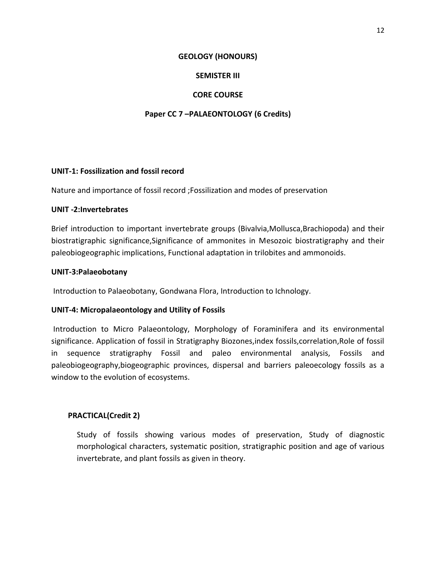#### **GEOLOGY (HONOURS)**

## **SEMISTER III**

## **CORE COURSE**

## **Paper CC 7 –PALAEONTOLOGY (6 Credits)**

#### **UNIT-1: Fossilization and fossil record**

Nature and importance of fossil record ;Fossilization and modes of preservation

#### **UNIT -2:Invertebrates**

Brief introduction to important invertebrate groups (Bivalvia,Mollusca,Brachiopoda) and their biostratigraphic significance,Significance of ammonites in Mesozoic biostratigraphy and their paleobiogeographic implications, Functional adaptation in trilobites and ammonoids.

#### **UNIT-3:Palaeobotany**

Introduction to Palaeobotany, Gondwana Flora, Introduction to Ichnology.

#### **UNIT-4: Micropalaeontology and Utility of Fossils**

Introduction to Micro Palaeontology, Morphology of Foraminifera and its environmental significance. Application of fossil in Stratigraphy Biozones,index fossils,correlation,Role of fossil in sequence stratigraphy Fossil and paleo environmental analysis, Fossils and paleobiogeography,biogeographic provinces, dispersal and barriers paleoecology fossils as a window to the evolution of ecosystems.

## **PRACTICAL(Credit 2)**

Study of fossils showing various modes of preservation, Study of diagnostic morphological characters, systematic position, stratigraphic position and age of various invertebrate, and plant fossils as given in theory.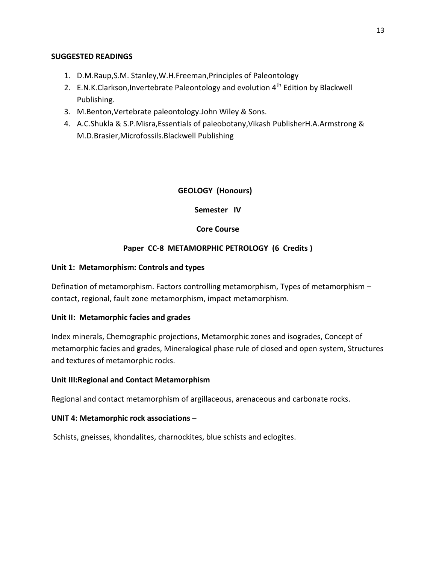#### **SUGGESTED READINGS**

- 1. D.M.Raup,S.M. Stanley,W.H.Freeman,Principles of Paleontology
- 2. E.N.K.Clarkson, Invertebrate Paleontology and evolution  $4^{th}$  Edition by Blackwell Publishing.
- 3. M.Benton,Vertebrate paleontology.John Wiley & Sons.
- 4. A.C.Shukla & S.P.Misra,Essentials of paleobotany,Vikash PublisherH.A.Armstrong & M.D.Brasier,Microfossils.Blackwell Publishing

## **GEOLOGY (Honours)**

## **Semester IV**

## **Core Course**

## **Paper CC-8 METAMORPHIC PETROLOGY (6 Credits )**

#### **Unit 1: Metamorphism: Controls and types**

Defination of metamorphism. Factors controlling metamorphism, Types of metamorphism – contact, regional, fault zone metamorphism, impact metamorphism.

#### **Unit II: Metamorphic facies and grades**

Index minerals, Chemographic projections, Metamorphic zones and isogrades, Concept of metamorphic facies and grades, Mineralogical phase rule of closed and open system, Structures and textures of metamorphic rocks.

#### **Unit III:Regional and Contact Metamorphism**

Regional and contact metamorphism of argillaceous, arenaceous and carbonate rocks.

#### **UNIT 4: Metamorphic rock associations** –

Schists, gneisses, khondalites, charnockites, blue schists and eclogites.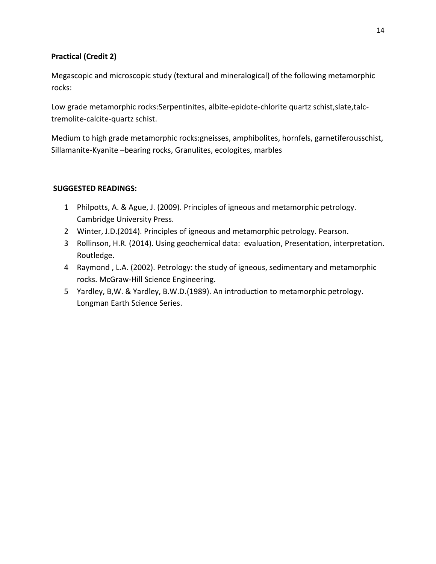## **Practical (Credit 2)**

Megascopic and microscopic study (textural and mineralogical) of the following metamorphic rocks:

Low grade metamorphic rocks:Serpentinites, albite-epidote-chlorite quartz schist,slate,talctremolite-calcite-quartz schist.

Medium to high grade metamorphic rocks:gneisses, amphibolites, hornfels, garnetiferousschist, Sillamanite-Kyanite –bearing rocks, Granulites, ecologites, marbles

## **SUGGESTED READINGS:**

- 1 Philpotts, A. & Ague, J. (2009). Principles of igneous and metamorphic petrology. Cambridge University Press.
- 2 Winter, J.D.(2014). Principles of igneous and metamorphic petrology. Pearson.
- 3 Rollinson, H.R. (2014). Using geochemical data: evaluation, Presentation, interpretation. Routledge.
- 4 Raymond , L.A. (2002). Petrology: the study of igneous, sedimentary and metamorphic rocks. McGraw-Hill Science Engineering.
- 5 Yardley, B,W. & Yardley, B.W.D.(1989). An introduction to metamorphic petrology. Longman Earth Science Series.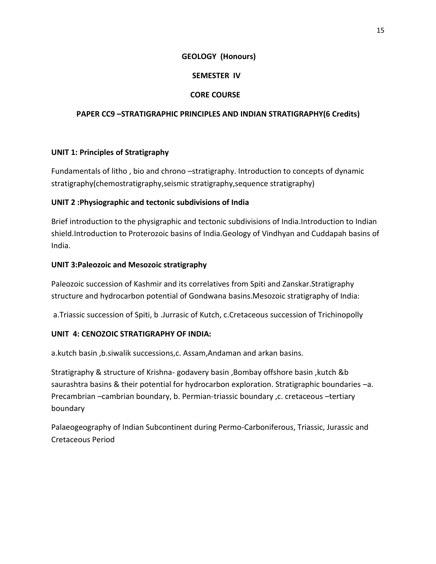## **GEOLOGY (Honours)**

## **SEMESTER IV**

## **CORE COURSE**

## **PAPER CC9 –STRATIGRAPHIC PRINCIPLES AND INDIAN STRATIGRAPHY(6 Credits)**

#### **UNIT 1: Principles of Stratigraphy**

Fundamentals of litho , bio and chrono –stratigraphy. Introduction to concepts of dynamic stratigraphy(chemostratigraphy,seismic stratigraphy,sequence stratigraphy)

## **UNIT 2 :Physiographic and tectonic subdivisions of India**

Brief introduction to the physigraphic and tectonic subdivisions of India.Introduction to Indian shield.Introduction to Proterozoic basins of India.Geology of Vindhyan and Cuddapah basins of India.

## **UNIT 3:Paleozoic and Mesozoic stratigraphy**

Paleozoic succession of Kashmir and its correlatives from Spiti and Zanskar.Stratigraphy structure and hydrocarbon potential of Gondwana basins.Mesozoic stratigraphy of India:

a.Triassic succession of Spiti, b .Jurrasic of Kutch, c.Cretaceous succession of Trichinopolly

## **UNIT 4: CENOZOIC STRATIGRAPHY OF INDIA:**

a.kutch basin ,b.siwalik successions,c. Assam,Andaman and arkan basins.

Stratigraphy & structure of Krishna- godavery basin ,Bombay offshore basin ,kutch &b saurashtra basins & their potential for hydrocarbon exploration. Stratigraphic boundaries –a. Precambrian –cambrian boundary, b. Permian-triassic boundary ,c. cretaceous –tertiary boundary

Palaeogeography of Indian Subcontinent during Permo-Carboniferous, Triassic, Jurassic and Cretaceous Period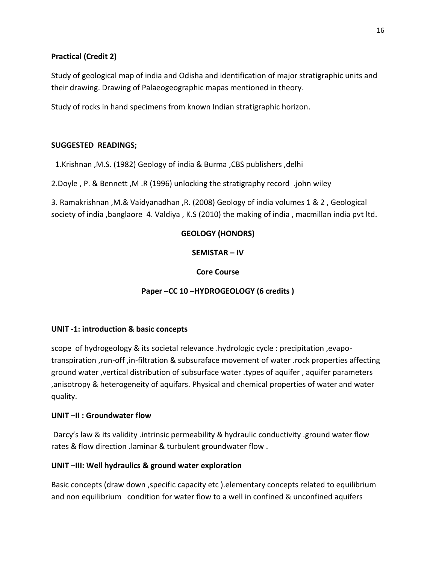## **Practical (Credit 2)**

Study of geological map of india and Odisha and identification of major stratigraphic units and their drawing. Drawing of Palaeogeographic mapas mentioned in theory.

Study of rocks in hand specimens from known Indian stratigraphic horizon.

## **SUGGESTED READINGS;**

1.Krishnan ,M.S. (1982) Geology of india & Burma ,CBS publishers ,delhi

2.Doyle , P. & Bennett ,M .R (1996) unlocking the stratigraphy record .john wiley

3. Ramakrishnan ,M.& Vaidyanadhan ,R. (2008) Geology of india volumes 1 & 2 , Geological society of india ,banglaore 4. Valdiya , K.S (2010) the making of india , macmillan india pvt ltd.

## **GEOLOGY (HONORS)**

**SEMISTAR – IV**

**Core Course**

**Paper –CC 10 –HYDROGEOLOGY (6 credits )**

## **UNIT -1: introduction & basic concepts**

scope of hydrogeology & its societal relevance .hydrologic cycle : precipitation ,evapotranspiration ,run-off ,in-filtration & subsuraface movement of water .rock properties affecting ground water ,vertical distribution of subsurface water .types of aquifer , aquifer parameters ,anisotropy & heterogeneity of aquifars. Physical and chemical properties of water and water quality.

## **UNIT –II : Groundwater flow**

Darcy's law & its validity .intrinsic permeability & hydraulic conductivity .ground water flow rates & flow direction .laminar & turbulent groundwater flow .

## **UNIT –III: Well hydraulics & ground water exploration**

Basic concepts (draw down , specific capacity etc ). elementary concepts related to equilibrium and non equilibrium condition for water flow to a well in confined & unconfined aquifers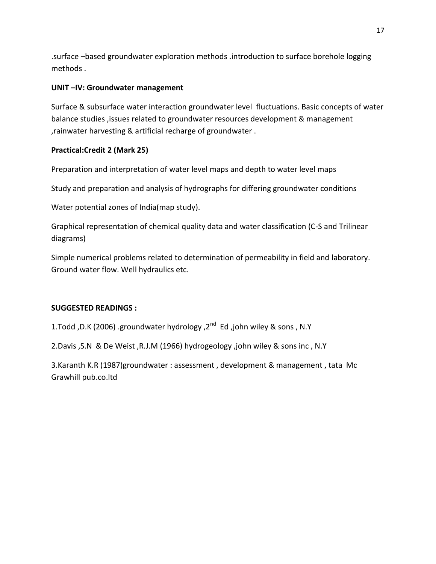.surface –based groundwater exploration methods .introduction to surface borehole logging methods .

## **UNIT –IV: Groundwater management**

Surface & subsurface water interaction groundwater level fluctuations. Basic concepts of water balance studies ,issues related to groundwater resources development & management ,rainwater harvesting & artificial recharge of groundwater .

## **Practical:Credit 2 (Mark 25)**

Preparation and interpretation of water level maps and depth to water level maps

Study and preparation and analysis of hydrographs for differing groundwater conditions

Water potential zones of India(map study).

Graphical representation of chemical quality data and water classification (C-S and Trilinear diagrams)

Simple numerical problems related to determination of permeability in field and laboratory. Ground water flow. Well hydraulics etc.

## **SUGGESTED READINGS :**

1.Todd ,D.K (2006) .groundwater hydrology ,2<sup>nd</sup> Ed ,john wiley & sons , N.Y

2.Davis ,S.N & De Weist ,R.J.M (1966) hydrogeology ,john wiley & sons inc , N.Y

3.Karanth K.R (1987)groundwater : assessment , development & management , tata Mc Grawhill pub.co.ltd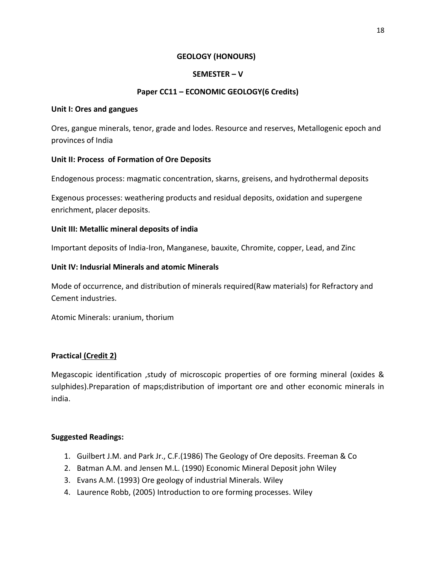#### **GEOLOGY (HONOURS)**

## **SEMESTER – V**

## **Paper CC11 – ECONOMIC GEOLOGY(6 Credits)**

#### **Unit I: Ores and gangues**

Ores, gangue minerals, tenor, grade and lodes. Resource and reserves, Metallogenic epoch and provinces of India

#### **Unit II: Process of Formation of Ore Deposits**

Endogenous process: magmatic concentration, skarns, greisens, and hydrothermal deposits

Exgenous processes: weathering products and residual deposits, oxidation and supergene enrichment, placer deposits.

#### **Unit III: Metallic mineral deposits of india**

Important deposits of India-Iron, Manganese, bauxite, Chromite, copper, Lead, and Zinc

#### **Unit IV: Indusrial Minerals and atomic Minerals**

Mode of occurrence, and distribution of minerals required(Raw materials) for Refractory and Cement industries.

Atomic Minerals: uranium, thorium

## **Practical (Credit 2)**

Megascopic identification ,study of microscopic properties of ore forming mineral (oxides & sulphides).Preparation of maps;distribution of important ore and other economic minerals in india.

#### **Suggested Readings:**

- 1. Guilbert J.M. and Park Jr., C.F.(1986) The Geology of Ore deposits. Freeman & Co
- 2. Batman A.M. and Jensen M.L. (1990) Economic Mineral Deposit john Wiley
- 3. Evans A.M. (1993) Ore geology of industrial Minerals. Wiley
- 4. Laurence Robb, (2005) Introduction to ore forming processes. Wiley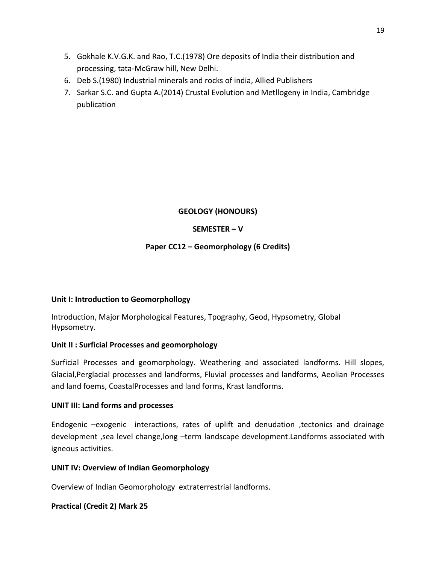- 5. Gokhale K.V.G.K. and Rao, T.C.(1978) Ore deposits of India their distribution and processing, tata-McGraw hill, New Delhi.
- 6. Deb S.(1980) Industrial minerals and rocks of india, Allied Publishers
- 7. Sarkar S.C. and Gupta A.(2014) Crustal Evolution and Metllogeny in India, Cambridge publication

## **GEOLOGY (HONOURS)**

## **SEMESTER – V**

## **Paper CC12 – Geomorphology (6 Credits)**

#### **Unit I: Introduction to Geomorphollogy**

Introduction, Major Morphological Features, Tpography, Geod, Hypsometry, Global Hypsometry.

## **Unit II : Surficial Processes and geomorphology**

Surficial Processes and geomorphology. Weathering and associated landforms. Hill slopes, Glacial,Perglacial processes and landforms, Fluvial processes and landforms, Aeolian Processes and land foems, CoastalProcesses and land forms, Krast landforms.

#### **UNIT III: Land forms and processes**

Endogenic –exogenic interactions, rates of uplift and denudation ,tectonics and drainage development ,sea level change,long –term landscape development.Landforms associated with igneous activities.

#### **UNIT IV: Overview of Indian Geomorphology**

Overview of Indian Geomorphology extraterrestrial landforms.

#### **Practical (Credit 2) Mark 25**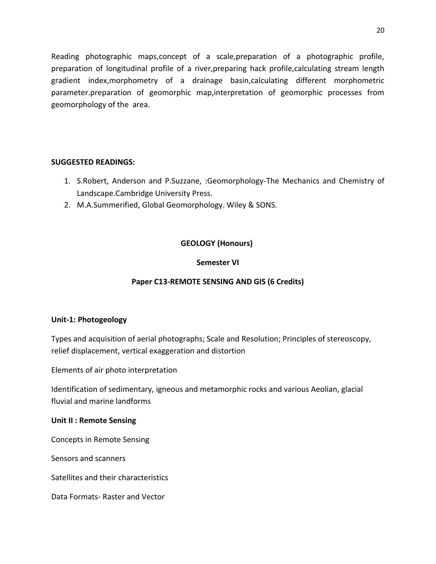Reading photographic maps,concept of a scale,preparation of a photographic profile, preparation of longitudinal profile of a river,preparing hack profile,calculating stream length gradient index,morphometry of a drainage basin,calculating different morphometric parameter.preparation of geomorphic map,interpretation of geomorphic processes from geomorphology of the area.

## **SUGGESTED READINGS:**

- 1. S.Robert, Anderson and P.Suzzane, :Geomorphology-The Mechanics and Chemistry of Landscape.Cambridge University Press.
- 2. M.A.Summerified, Global Geomorphology. Wiley & SONS.

## **GEOLOGY (Honours)**

## **Semester VI**

## **Paper C13-REMOTE SENSING AND GIS (6 Credits)**

## **Unit-1: Photogeology**

Types and acquisition of aerial photographs; Scale and Resolution; Principles of stereoscopy, relief displacement, vertical exaggeration and distortion

Elements of air photo interpretation

Identification of sedimentary, igneous and metamorphic rocks and various Aeolian, glacial fluvial and marine landforms

## **Unit II : Remote Sensing**

Concepts in Remote Sensing

Sensors and scanners

Satellites and their characteristics

Data Formats- Raster and Vector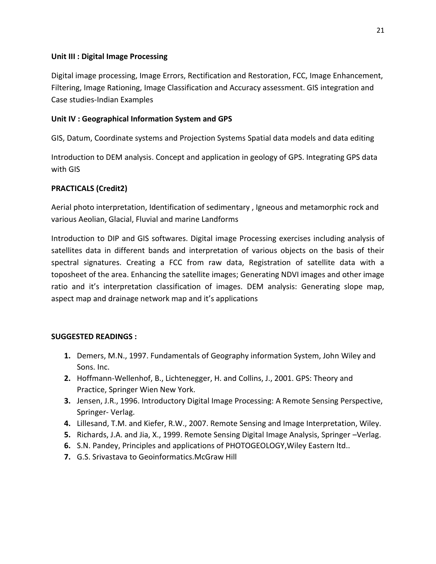## **Unit III : Digital Image Processing**

Digital image processing, Image Errors, Rectification and Restoration, FCC, Image Enhancement, Filtering, Image Rationing, Image Classification and Accuracy assessment. GIS integration and Case studies-Indian Examples

## **Unit IV : Geographical Information System and GPS**

GIS, Datum, Coordinate systems and Projection Systems Spatial data models and data editing

Introduction to DEM analysis. Concept and application in geology of GPS. Integrating GPS data with GIS

## **PRACTICALS (Credit2)**

Aerial photo interpretation, Identification of sedimentary , Igneous and metamorphic rock and various Aeolian, Glacial, Fluvial and marine Landforms

Introduction to DIP and GIS softwares. Digital image Processing exercises including analysis of satellites data in different bands and interpretation of various objects on the basis of their spectral signatures. Creating a FCC from raw data, Registration of satellite data with a toposheet of the area. Enhancing the satellite images; Generating NDVI images and other image ratio and it's interpretation classification of images. DEM analysis: Generating slope map, aspect map and drainage network map and it's applications

## **SUGGESTED READINGS :**

- **1.** Demers, M.N., 1997. Fundamentals of Geography information System, John Wiley and Sons. Inc.
- **2.** Hoffmann-Wellenhof, B., Lichtenegger, H. and Collins, J., 2001. GPS: Theory and Practice, Springer Wien New York.
- **3.** Jensen, J.R., 1996. Introductory Digital Image Processing: A Remote Sensing Perspective, Springer- Verlag.
- **4.** Lillesand, T.M. and Kiefer, R.W., 2007. Remote Sensing and Image Interpretation, Wiley.
- **5.** Richards, J.A. and Jia, X., 1999. Remote Sensing Digital Image Analysis, Springer –Verlag.
- **6.** S.N. Pandey, Principles and applications of PHOTOGEOLOGY,Wiley Eastern ltd..
- **7.** G.S. Srivastava to Geoinformatics.McGraw Hill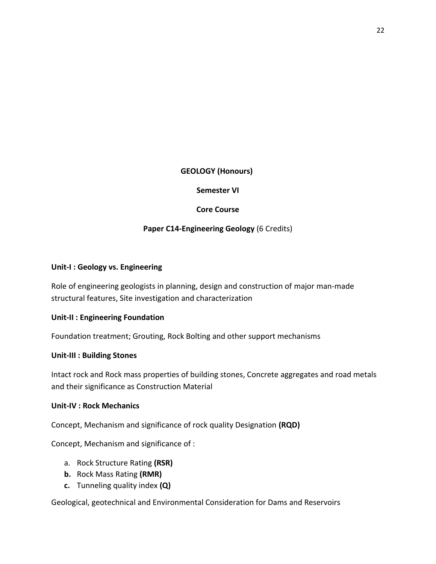#### **GEOLOGY (Honours)**

#### **Semester VI**

#### **Core Course**

#### **Paper C14-Engineering Geology** (6 Credits)

#### **Unit-I : Geology vs. Engineering**

Role of engineering geologists in planning, design and construction of major man-made structural features, Site investigation and characterization

#### **Unit-II : Engineering Foundation**

Foundation treatment; Grouting, Rock Bolting and other support mechanisms

#### **Unit-III : Building Stones**

Intact rock and Rock mass properties of building stones, Concrete aggregates and road metals and their significance as Construction Material

#### **Unit-IV : Rock Mechanics**

Concept, Mechanism and significance of rock quality Designation **(RQD)**

Concept, Mechanism and significance of :

- a. Rock Structure Rating **(RSR)**
- **b.** Rock Mass Rating **(RMR)**
- **c.** Tunneling quality index **(Q)**

Geological, geotechnical and Environmental Consideration for Dams and Reservoirs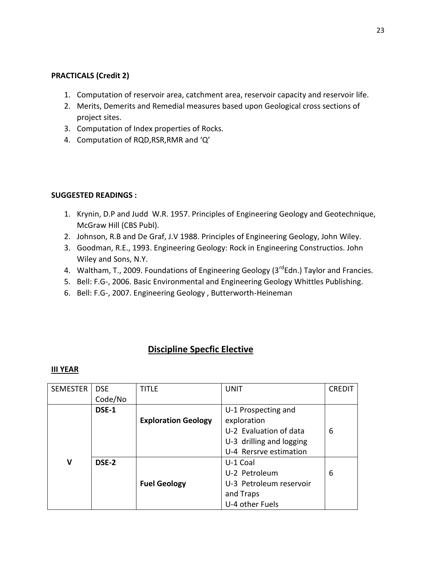#### **PRACTICALS (Credit 2)**

- 1. Computation of reservoir area, catchment area, reservoir capacity and reservoir life.
- 2. Merits, Demerits and Remedial measures based upon Geological cross sections of project sites.
- 3. Computation of Index properties of Rocks.
- 4. Computation of RQD,RSR,RMR and 'Q'

#### **SUGGESTED READINGS :**

- 1. Krynin, D.P and Judd W.R. 1957. Principles of Engineering Geology and Geotechnique, McGraw Hill (CBS Publ).
- 2. Johnson, R.B and De Graf, J.V 1988. Principles of Engineering Geology, John Wiley.
- 3. Goodman, R.E., 1993. Engineering Geology: Rock in Engineering Constructios. John Wiley and Sons, N.Y.
- 4. Waltham, T., 2009. Foundations of Engineering Geology (3<sup>rd</sup>Edn.) Taylor and Francies.
- 5. Bell: F.G-, 2006. Basic Environmental and Engineering Geology Whittles Publishing.
- 6. Bell: F.G-, 2007. Engineering Geology , Butterworth-Heineman

## **Discipline Specfic Elective**

| <b>SEMESTER</b> | <b>DSE</b> | TITLF                      | <b>UNIT</b>              | <b>CREDIT</b> |
|-----------------|------------|----------------------------|--------------------------|---------------|
|                 | Code/No    |                            |                          |               |
|                 | DSE-1      |                            | U-1 Prospecting and      |               |
|                 |            | <b>Exploration Geology</b> | exploration              |               |
|                 |            |                            | U-2 Evaluation of data   | 6             |
|                 |            |                            | U-3 drilling and logging |               |
|                 |            |                            | U-4 Rersrve estimation   |               |
| v               | DSE-2      |                            | U-1 Coal                 |               |
|                 |            |                            | U-2 Petroleum            | 6             |
|                 |            | <b>Fuel Geology</b>        | U-3 Petroleum reservoir  |               |
|                 |            |                            | and Traps                |               |
|                 |            |                            | U-4 other Fuels          |               |

#### **III YEAR**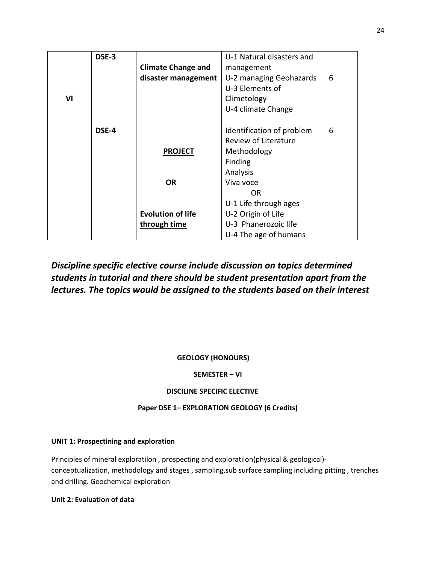|    | DSE-3 |                           | U-1 Natural disasters and |   |
|----|-------|---------------------------|---------------------------|---|
|    |       | <b>Climate Change and</b> | management                |   |
|    |       | disaster management       | U-2 managing Geohazards   | 6 |
|    |       |                           | U-3 Elements of           |   |
| VI |       |                           | Climetology               |   |
|    |       |                           | U-4 climate Change        |   |
|    |       |                           |                           |   |
|    | DSE-4 |                           | Identification of problem | 6 |
|    |       |                           | Review of Literature      |   |
|    |       | <b>PROJECT</b>            | Methodology               |   |
|    |       |                           | Finding                   |   |
|    |       |                           | Analysis                  |   |
|    |       | <b>OR</b>                 | Viva voce                 |   |
|    |       |                           | 0R                        |   |
|    |       |                           | U-1 Life through ages     |   |
|    |       | <b>Evolution of life</b>  | U-2 Origin of Life        |   |
|    |       | through time              | U-3 Phanerozoic life      |   |
|    |       |                           | U-4 The age of humans     |   |

## *Discipline specific elective course include discussion on topics determined students in tutorial and there should be student presentation apart from the lectures. The topics would be assigned to the students based on their interest*

## **GEOLOGY (HONOURS)**

#### **SEMESTER – VI**

#### **DISCILINE SPECIFIC ELECTIVE**

#### **Paper DSE 1– EXPLORATION GEOLOGY (6 Credits)**

#### **UNIT 1: Prospectining and exploration**

Principles of mineral exploratilon , prospecting and exploratilon(physical & geological) conceptualization, methodology and stages , sampling,sub surface sampling including pitting , trenches and drilling. Geochemical exploration

**Unit 2: Evaluation of data**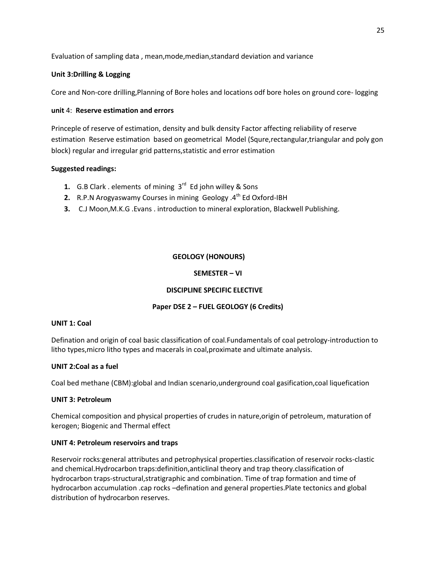Evaluation of sampling data , mean,mode,median,standard deviation and variance

#### **Unit 3:Drilling & Logging**

Core and Non-core drilling,Planning of Bore holes and locations odf bore holes on ground core- logging

#### **unit** 4: **Reserve estimation and errors**

Princeple of reserve of estimation, density and bulk density Factor affecting reliability of reserve estimation Reserve estimation based on geometrical Model (Squre,rectangular,triangular and poly gon block) regular and irregular grid patterns,statistic and error estimation

#### **Suggested readings:**

- **1.** G.B Clark . elements of mining 3<sup>rd</sup> Ed john willey & Sons
- **2.** R.P.N Arogyaswamy Courses in mining Geology .4<sup>th</sup> Ed Oxford-IBH
- **3.** C.J Moon,M.K.G .Evans . introduction to mineral exploration, Blackwell Publishing.

#### **GEOLOGY (HONOURS)**

#### **SEMESTER – VI**

#### **DISCIPLINE SPECIFIC ELECTIVE**

#### **Paper DSE 2 – FUEL GEOLOGY (6 Credits)**

#### **UNIT 1: Coal**

Defination and origin of coal basic classification of coal.Fundamentals of coal petrology-introduction to litho types,micro litho types and macerals in coal,proximate and ultimate analysis.

#### **UNIT 2:Coal as a fuel**

Coal bed methane (CBM):global and Indian scenario,underground coal gasification,coal liquefication

#### **UNIT 3: Petroleum**

Chemical composition and physical properties of crudes in nature,origin of petroleum, maturation of kerogen; Biogenic and Thermal effect

#### **UNIT 4: Petroleum reservoirs and traps**

Reservoir rocks:general attributes and petrophysical properties.classification of reservoir rocks-clastic and chemical.Hydrocarbon traps:definition,anticlinal theory and trap theory.classification of hydrocarbon traps-structural,stratigraphic and combination. Time of trap formation and time of hydrocarbon accumulation .cap rocks –defination and general properties.Plate tectonics and global distribution of hydrocarbon reserves.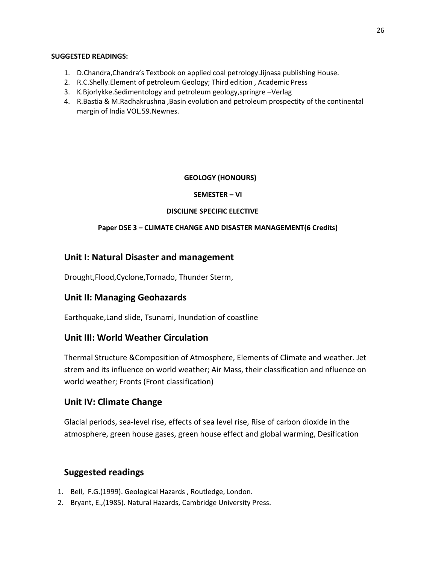#### **SUGGESTED READINGS:**

- 1. D.Chandra,Chandra's Textbook on applied coal petrology.Jijnasa publishing House.
- 2. R.C.Shelly.Element of petroleum Geology; Third edition , Academic Press
- 3. K.Bjorlykke.Sedimentology and petroleum geology,springre –Verlag
- 4. R.Bastia & M.Radhakrushna ,Basin evolution and petroleum prospectity of the continental margin of India VOL.59.Newnes.

## **GEOLOGY (HONOURS)**

#### **SEMESTER – VI**

#### **DISCILINE SPECIFIC ELECTIVE**

## **Paper DSE 3 – CLIMATE CHANGE AND DISASTER MANAGEMENT(6 Credits)**

## **Unit I: Natural Disaster and management**

Drought,Flood,Cyclone,Tornado, Thunder Sterm,

## **Unit II: Managing Geohazards**

Earthquake,Land slide, Tsunami, Inundation of coastline

## **Unit III: World Weather Circulation**

Thermal Structure &Composition of Atmosphere, Elements of Climate and weather. Jet strem and its influence on world weather; Air Mass, their classification and nfluence on world weather; Fronts (Front classification)

## **Unit IV: Climate Change**

Glacial periods, sea-level rise, effects of sea level rise, Rise of carbon dioxide in the atmosphere, green house gases, green house effect and global warming, Desification

## **Suggested readings**

- 1. Bell, F.G.(1999). Geological Hazards , Routledge, London.
- 2. Bryant, E.,(1985). Natural Hazards, Cambridge University Press.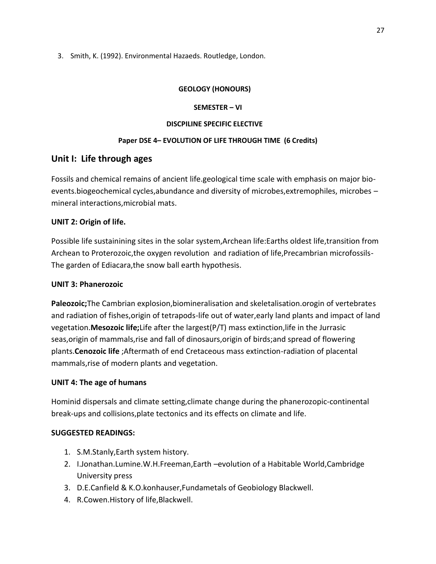3. Smith, K. (1992). Environmental Hazaeds. Routledge, London.

#### **GEOLOGY (HONOURS)**

#### **SEMESTER – VI**

#### **DISCPILINE SPECIFIC ELECTIVE**

### **Paper DSE 4– EVOLUTION OF LIFE THROUGH TIME (6 Credits)**

## **Unit I: Life through ages**

Fossils and chemical remains of ancient life.geological time scale with emphasis on major bioevents.biogeochemical cycles,abundance and diversity of microbes,extremophiles, microbes – mineral interactions,microbial mats.

## **UNIT 2: Origin of life.**

Possible life sustainining sites in the solar system,Archean life:Earths oldest life,transition from Archean to Proterozoic,the oxygen revolution and radiation of life,Precambrian microfossils-The garden of Ediacara,the snow ball earth hypothesis.

#### **UNIT 3: Phanerozoic**

**Paleozoic;**The Cambrian explosion,biomineralisation and skeletalisation.orogin of vertebrates and radiation of fishes,origin of tetrapods-life out of water,early land plants and impact of land vegetation.**Mesozoic life;**Life after the largest(P/T) mass extinction,life in the Jurrasic seas,origin of mammals,rise and fall of dinosaurs,origin of birds;and spread of flowering plants.**Cenozoic life** ;Aftermath of end Cretaceous mass extinction-radiation of placental mammals,rise of modern plants and vegetation.

#### **UNIT 4: The age of humans**

Hominid dispersals and climate setting,climate change during the phanerozopic-continental break-ups and collisions,plate tectonics and its effects on climate and life.

## **SUGGESTED READINGS:**

- 1. S.M.Stanly,Earth system history.
- 2. I.Jonathan.Lumine.W.H.Freeman,Earth –evolution of a Habitable World,Cambridge University press
- 3. D.E.Canfield & K.O.konhauser,Fundametals of Geobiology Blackwell.
- 4. R.Cowen.History of life,Blackwell.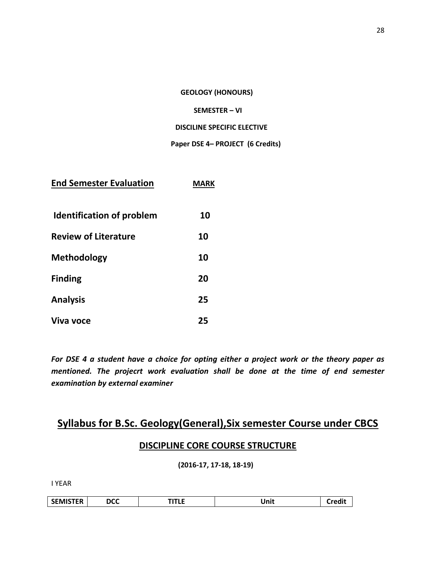**GEOLOGY (HONOURS)**

#### **SEMESTER – VI**

#### **DISCILINE SPECIFIC ELECTIVE**

#### **Paper DSE 4– PROJECT (6 Credits)**

| <b>End Semester Evaluation</b>   | MARK |
|----------------------------------|------|
| <b>Identification of problem</b> | 10   |
| <b>Review of Literature</b>      | 10   |
| Methodology                      | 10   |
| <b>Finding</b>                   | 20   |
| <b>Analysis</b>                  | 25   |
| Viva voce                        | 25   |

*For DSE 4 a student have a choice for opting either a project work or the theory paper as mentioned. The projecrt work evaluation shall be done at the time of end semester examination by external examiner*

## **Syllabus for B.Sc. Geology(General),Six semester Course under CBCS**

## **DISCIPLINE CORE COURSE STRUCTURE**

**(2016-17, 17-18, 18-19)**

I YEAR

| <b>AISTER</b><br><b>SEIVIIS</b> | <b>DCC</b> | - -<br>--<br>. | Inii |  |
|---------------------------------|------------|----------------|------|--|
|---------------------------------|------------|----------------|------|--|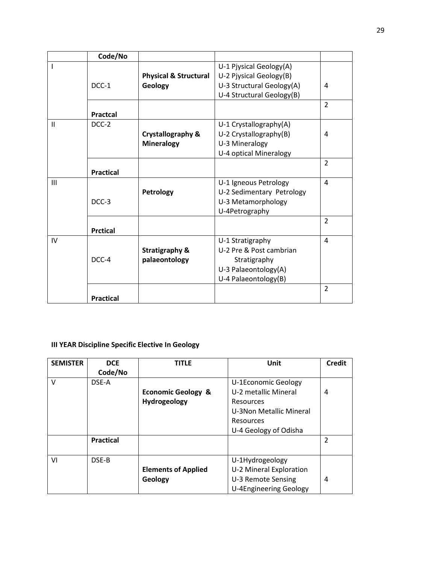|              | Code/No          |                                  |                           |                |
|--------------|------------------|----------------------------------|---------------------------|----------------|
|              |                  |                                  | U-1 Pjysical Geology(A)   |                |
|              |                  | <b>Physical &amp; Structural</b> | U-2 Pjysical Geology(B)   |                |
|              | DCC-1            | Geology                          | U-3 Structural Geology(A) | 4              |
|              |                  |                                  | U-4 Structural Geology(B) |                |
|              |                  |                                  |                           | $\overline{2}$ |
|              | <b>Practcal</b>  |                                  |                           |                |
| $\mathbf{H}$ | DCC-2            |                                  | U-1 Crystallography(A)    |                |
|              |                  | <b>Crystallography &amp;</b>     | U-2 Crystallography(B)    | 4              |
|              |                  | <b>Mineralogy</b>                | U-3 Mineralogy            |                |
|              |                  |                                  | U-4 optical Mineralogy    |                |
|              |                  |                                  |                           | $\overline{2}$ |
|              | <b>Practical</b> |                                  |                           |                |
| Ш            |                  |                                  | U-1 Igneous Petrology     | 4              |
|              |                  | Petrology                        | U-2 Sedimentary Petrology |                |
|              | DCC-3            |                                  | U-3 Metamorphology        |                |
|              |                  |                                  | U-4Petrography            |                |
|              |                  |                                  |                           | $\overline{2}$ |
|              | <b>Prctical</b>  |                                  |                           |                |
| IV           |                  |                                  | U-1 Stratigraphy          | 4              |
|              |                  | <b>Stratigraphy &amp;</b>        | U-2 Pre & Post cambrian   |                |
|              | DCC-4            | palaeontology                    | Stratigraphy              |                |
|              |                  |                                  | U-3 Palaeontology(A)      |                |
|              |                  |                                  | U-4 Palaeontology(B)      |                |
|              |                  |                                  |                           | $\overline{2}$ |
|              | <b>Practical</b> |                                  |                           |                |

## **III YEAR Discipline Specific Elective In Geology**

| <b>SEMISTER</b> | <b>DCE</b><br>Code/No | <b>TITLE</b>                  | Unit                          | <b>Credit</b>  |
|-----------------|-----------------------|-------------------------------|-------------------------------|----------------|
| V               | DSE-A                 |                               | U-1Economic Geology           |                |
|                 |                       | <b>Economic Geology &amp;</b> | U-2 metallic Mineral          | 4              |
|                 |                       | Hydrogeology                  | Resources                     |                |
|                 |                       |                               | U-3Non Metallic Mineral       |                |
|                 |                       |                               | <b>Resources</b>              |                |
|                 |                       |                               | U-4 Geology of Odisha         |                |
|                 | <b>Practical</b>      |                               |                               | $\overline{2}$ |
|                 |                       |                               |                               |                |
| VI              | DSE-B                 |                               | U-1Hydrogeology               |                |
|                 |                       | <b>Elements of Applied</b>    | U-2 Mineral Exploration       |                |
|                 |                       | Geology                       | U-3 Remote Sensing            | 4              |
|                 |                       |                               | <b>U-4Engineering Geology</b> |                |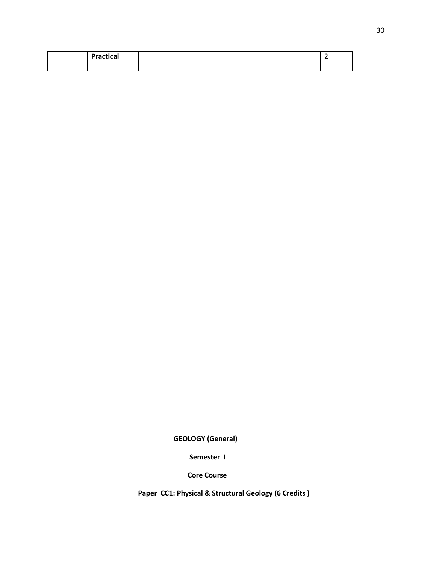|  | <b>Practical</b> |  |  |
|--|------------------|--|--|
|  |                  |  |  |

 **GEOLOGY (General)**

 **Semester I**

 **Core Course**

 **Paper CC1: Physical & Structural Geology (6 Credits )**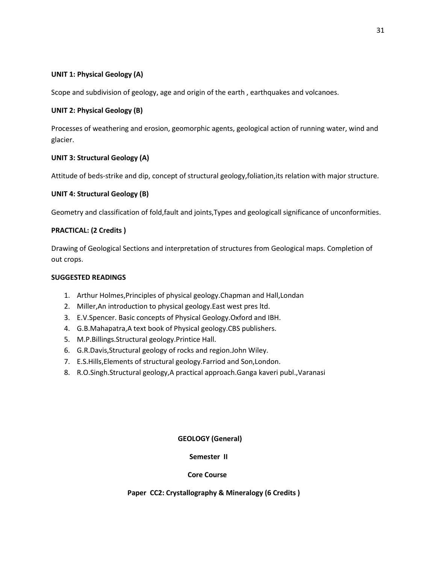#### **UNIT 1: Physical Geology (A)**

Scope and subdivision of geology, age and origin of the earth , earthquakes and volcanoes.

#### **UNIT 2: Physical Geology (B)**

Processes of weathering and erosion, geomorphic agents, geological action of running water, wind and glacier.

#### **UNIT 3: Structural Geology (A)**

Attitude of beds-strike and dip, concept of structural geology,foliation,its relation with major structure.

#### **UNIT 4: Structural Geology (B)**

Geometry and classification of fold,fault and joints,Types and geologicall significance of unconformities.

#### **PRACTICAL: (2 Credits )**

Drawing of Geological Sections and interpretation of structures from Geological maps. Completion of out crops.

#### **SUGGESTED READINGS**

- 1. Arthur Holmes,Principles of physical geology.Chapman and Hall,Londan
- 2. Miller,An introduction to physical geology.East west pres ltd.
- 3. E.V.Spencer. Basic concepts of Physical Geology.Oxford and IBH.
- 4. G.B.Mahapatra,A text book of Physical geology.CBS publishers.
- 5. M.P.Billings.Structural geology.Printice Hall.
- 6. G.R.Davis,Structural geology of rocks and region.John Wiley.
- 7. E.S.Hills,Elements of structural geology.Farriod and Son,London.
- 8. R.O.Singh.Structural geology,A practical approach.Ganga kaveri publ.,Varanasi

#### **GEOLOGY (General)**

#### **Semester II**

#### **Core Course**

## **Paper CC2: Crystallography & Mineralogy (6 Credits )**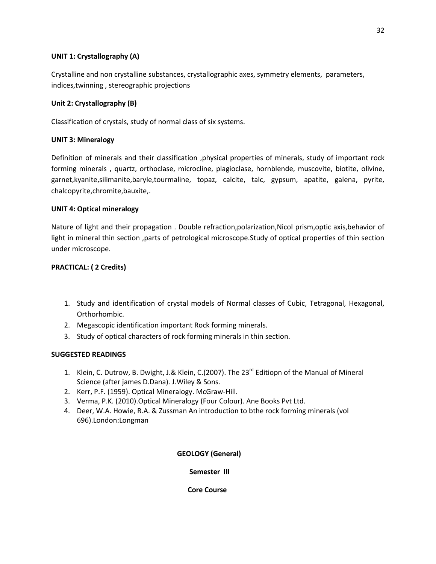#### **UNIT 1: Crystallography (A)**

Crystalline and non crystalline substances, crystallographic axes, symmetry elements, parameters, indices,twinning , stereographic projections

#### **Unit 2: Crystallography (B)**

Classification of crystals, study of normal class of six systems.

#### **UNIT 3: Mineralogy**

Definition of minerals and their classification ,physical properties of minerals, study of important rock forming minerals , quartz, orthoclase, microcline, plagioclase, hornblende, muscovite, biotite, olivine, garnet,kyanite,silimanite,baryle,tourmaline, topaz, calcite, talc, gypsum, apatite, galena, pyrite, chalcopyrite,chromite,bauxite,.

#### **UNIT 4: Optical mineralogy**

Nature of light and their propagation . Double refraction,polarization,Nicol prism,optic axis,behavior of light in mineral thin section ,parts of petrological microscope.Study of optical properties of thin section under microscope.

#### **PRACTICAL: ( 2 Credits)**

- 1. Study and identification of crystal models of Normal classes of Cubic, Tetragonal, Hexagonal, Orthorhombic.
- 2. Megascopic identification important Rock forming minerals.
- 3. Study of optical characters of rock forming minerals in thin section.

#### **SUGGESTED READINGS**

- 1. Klein, C. Dutrow, B. Dwight, J.& Klein, C.(2007). The 23<sup>rd</sup> Editiopn of the Manual of Mineral Science (after james D.Dana). J.Wiley & Sons.
- 2. Kerr, P.F. (1959). Optical Mineralogy. McGraw-Hill.
- 3. Verma, P.K. (2010).Optical Mineralogy (Four Colour). Ane Books Pvt Ltd.
- 4. Deer, W.A. Howie, R.A. & Zussman An introduction to bthe rock forming minerals (vol 696).London:Longman

#### **GEOLOGY (General)**

 **Semester III**

 **Core Course**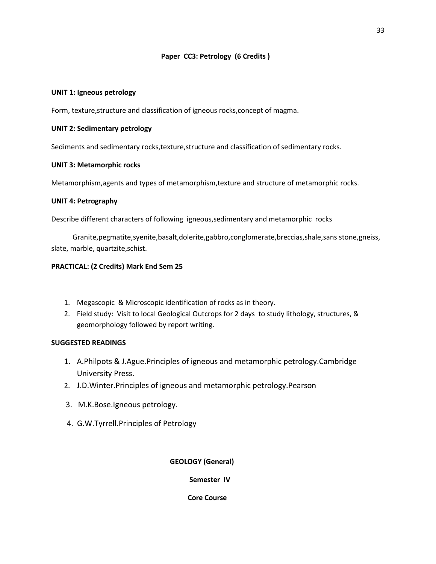#### **Paper CC3: Petrology (6 Credits )**

#### **UNIT 1: Igneous petrology**

Form, texture,structure and classification of igneous rocks,concept of magma.

#### **UNIT 2: Sedimentary petrology**

Sediments and sedimentary rocks,texture,structure and classification of sedimentary rocks.

#### **UNIT 3: Metamorphic rocks**

Metamorphism,agents and types of metamorphism,texture and structure of metamorphic rocks.

#### **UNIT 4: Petrography**

Describe different characters of following igneous,sedimentary and metamorphic rocks

 Granite,pegmatite,syenite,basalt,dolerite,gabbro,conglomerate,breccias,shale,sans stone,gneiss, slate, marble, quartzite,schist.

#### **PRACTICAL: (2 Credits) Mark End Sem 25**

- 1. Megascopic & Microscopic identification of rocks as in theory.
- 2. Field study: Visit to local Geological Outcrops for 2 days to study lithology, structures, & geomorphology followed by report writing.

#### **SUGGESTED READINGS**

- 1. A.Philpots & J.Ague.Principles of igneous and metamorphic petrology.Cambridge University Press.
- 2. J.D.Winter.Principles of igneous and metamorphic petrology.Pearson
- 3. M.K.Bose.Igneous petrology.
- 4. G.W.Tyrrell.Principles of Petrology

#### **GEOLOGY (General)**

 **Semester IV**

 **Core Course**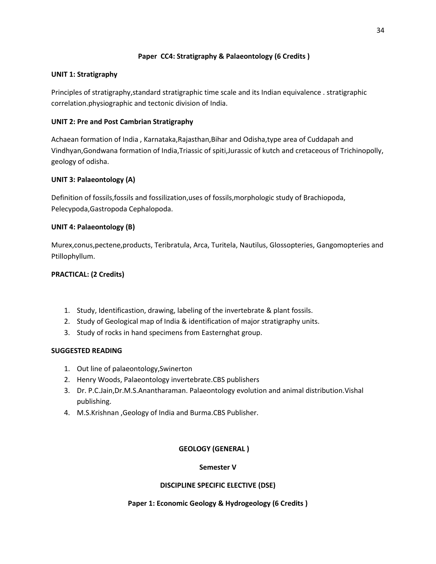#### **Paper CC4: Stratigraphy & Palaeontology (6 Credits )**

#### **UNIT 1: Stratigraphy**

Principles of stratigraphy,standard stratigraphic time scale and its Indian equivalence . stratigraphic correlation.physiographic and tectonic division of India.

#### **UNIT 2: Pre and Post Cambrian Stratigraphy**

Achaean formation of India , Karnataka,Rajasthan,Bihar and Odisha,type area of Cuddapah and Vindhyan,Gondwana formation of India,Triassic of spiti,Jurassic of kutch and cretaceous of Trichinopolly, geology of odisha.

#### **UNIT 3: Palaeontology (A)**

Definition of fossils,fossils and fossilization,uses of fossils,morphologic study of Brachiopoda, Pelecypoda,Gastropoda Cephalopoda.

#### **UNIT 4: Palaeontology (B)**

Murex,conus,pectene,products, Teribratula, Arca, Turitela, Nautilus, Glossopteries, Gangomopteries and Ptillophyllum.

#### **PRACTICAL: (2 Credits)**

- 1. Study, Identificastion, drawing, labeling of the invertebrate & plant fossils.
- 2. Study of Geological map of India & identification of major stratigraphy units.
- 3. Study of rocks in hand specimens from Easternghat group.

#### **SUGGESTED READING**

- 1. Out line of palaeontology,Swinerton
- 2. Henry Woods, Palaeontology invertebrate.CBS publishers
- 3. Dr. P.C.Jain,Dr.M.S.Anantharaman. Palaeontology evolution and animal distribution.Vishal publishing.
- 4. M.S.Krishnan ,Geology of India and Burma.CBS Publisher.

#### **GEOLOGY (GENERAL )**

#### **Semester V**

#### **DISCIPLINE SPECIFIC ELECTIVE (DSE)**

#### **Paper 1: Economic Geology & Hydrogeology (6 Credits )**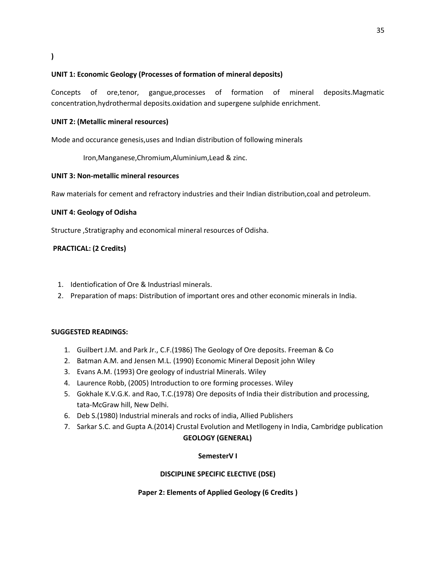#### **UNIT 1: Economic Geology (Processes of formation of mineral deposits)**

Concepts of ore,tenor, gangue,processes of formation of mineral deposits.Magmatic concentration,hydrothermal deposits.oxidation and supergene sulphide enrichment.

#### **UNIT 2: (Metallic mineral resources)**

Mode and occurance genesis,uses and Indian distribution of following minerals

Iron,Manganese,Chromium,Aluminium,Lead & zinc.

#### **UNIT 3: Non-metallic mineral resources**

Raw materials for cement and refractory industries and their Indian distribution,coal and petroleum.

#### **UNIT 4: Geology of Odisha**

Structure ,Stratigraphy and economical mineral resources of Odisha.

#### **PRACTICAL: (2 Credits)**

- 1. Identiofication of Ore & Industriasl minerals.
- 2. Preparation of maps: Distribution of important ores and other economic minerals in India.

#### **SUGGESTED READINGS:**

- 1. Guilbert J.M. and Park Jr., C.F.(1986) The Geology of Ore deposits. Freeman & Co
- 2. Batman A.M. and Jensen M.L. (1990) Economic Mineral Deposit john Wiley
- 3. Evans A.M. (1993) Ore geology of industrial Minerals. Wiley
- 4. Laurence Robb, (2005) Introduction to ore forming processes. Wiley
- 5. Gokhale K.V.G.K. and Rao, T.C.(1978) Ore deposits of India their distribution and processing, tata-McGraw hill, New Delhi.
- 6. Deb S.(1980) Industrial minerals and rocks of india, Allied Publishers
- 7. Sarkar S.C. and Gupta A.(2014) Crustal Evolution and Metllogeny in India, Cambridge publication

#### **GEOLOGY (GENERAL)**

#### **SemesterV I**

#### **DISCIPLINE SPECIFIC ELECTIVE (DSE)**

#### **Paper 2: Elements of Applied Geology (6 Credits )**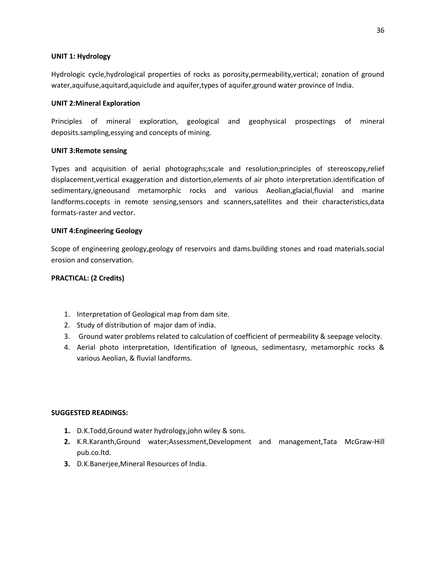#### **UNIT 1: Hydrology**

Hydrologic cycle,hydrological properties of rocks as porosity,permeability,vertical; zonation of ground water,aquifuse,aquitard,aquiclude and aquifer,types of aquifer,ground water province of India.

#### **UNIT 2:Mineral Exploration**

Principles of mineral exploration, geological and geophysical prospectings of mineral deposits.sampling,essying and concepts of mining.

#### **UNIT 3:Remote sensing**

Types and acquisition of aerial photographs;scale and resolution;principles of stereoscopy,relief displacement,vertical exaggeration and distortion,elements of air photo interpretation.identification of sedimentary,igneousand metamorphic rocks and various Aeolian,glacial,fluvial and marine landforms.cocepts in remote sensing,sensors and scanners,satellites and their characteristics,data formats-raster and vector.

#### **UNIT 4:Engineering Geology**

Scope of engineering geology,geology of reservoirs and dams.building stones and road materials.social erosion and conservation.

#### **PRACTICAL: (2 Credits)**

- 1. Interpretation of Geological map from dam site.
- 2. Study of distribution of major dam of india.
- 3. Ground water problems related to calculation of coefficient of permeability & seepage velocity.
- 4. Aerial photo interpretation, Identification of Igneous, sedimentasry, metamorphic rocks & various Aeolian, & fluvial landforms.

#### **SUGGESTED READINGS:**

- **1.** D.K.Todd,Ground water hydrology,john wiley & sons.
- **2.** K.R.Karanth,Ground water;Assessment,Development and management,Tata McGraw-Hill pub.co.ltd.
- **3.** D.K.Banerjee,Mineral Resources of India.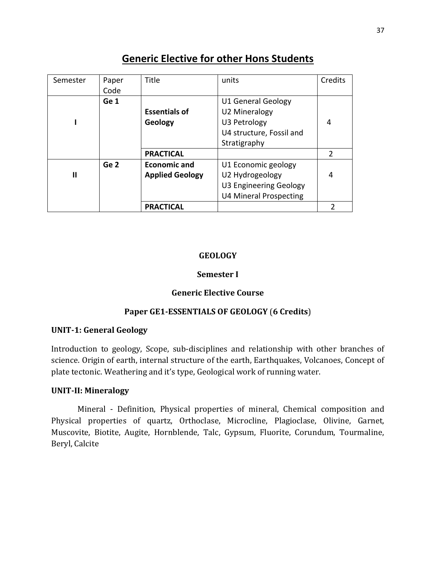## **Generic Elective for other Hons Students**

| Semester     | Paper           | Title                  | units                         | Credits |
|--------------|-----------------|------------------------|-------------------------------|---------|
|              | Code            |                        |                               |         |
|              | Ge 1            |                        | U1 General Geology            |         |
|              |                 | <b>Essentials of</b>   | <b>U2 Mineralogy</b>          |         |
|              |                 | Geology                | U3 Petrology                  | 4       |
|              |                 |                        | U4 structure, Fossil and      |         |
|              |                 |                        | Stratigraphy                  |         |
|              |                 | <b>PRACTICAL</b>       |                               | 2       |
|              | Ge <sub>2</sub> | <b>Economic and</b>    | U1 Economic geology           |         |
| $\mathbf{I}$ |                 | <b>Applied Geology</b> | U2 Hydrogeology               | 4       |
|              |                 |                        | U3 Engineering Geology        |         |
|              |                 |                        | <b>U4 Mineral Prospecting</b> |         |
|              |                 | <b>PRACTICAL</b>       |                               | 2       |

## **GEOLOGY**

## **Semester I**

## **Generic Elective Course**

## **Paper GE1-ESSENTIALS OF GEOLOGY** (**6 Credits**)

## **UNIT-1: General Geology**

Introduction to geology, Scope, sub-disciplines and relationship with other branches of science. Origin of earth, internal structure of the earth, Earthquakes, Volcanoes, Concept of plate tectonic. Weathering and it's type, Geological work of running water.

#### **UNIT-II: Mineralogy**

Mineral - Definition, Physical properties of mineral, Chemical composition and Physical properties of quartz, Orthoclase, Microcline, Plagioclase, Olivine, Garnet, Muscovite, Biotite, Augite, Hornblende, Talc, Gypsum, Fluorite, Corundum, Tourmaline, Beryl, Calcite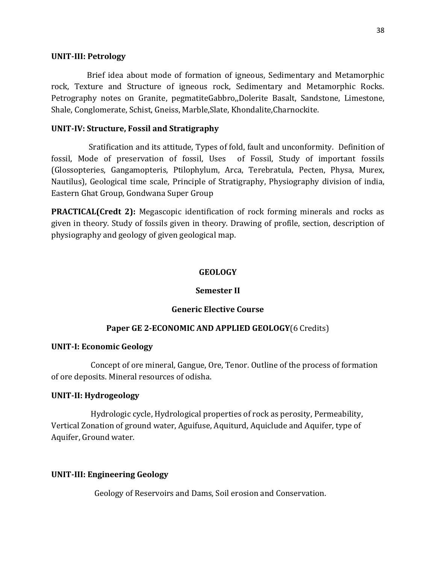#### **UNIT-III: Petrology**

Brief idea about mode of formation of igneous, Sedimentary and Metamorphic rock, Texture and Structure of igneous rock, Sedimentary and Metamorphic Rocks. Petrography notes on Granite, pegmatiteGabbro,,Dolerite Basalt, Sandstone, Limestone, Shale, Conglomerate, Schist, Gneiss, Marble,Slate, Khondalite,Charnockite.

#### **UNIT-IV: Structure, Fossil and Stratigraphy**

 Sratification and its attitude, Types of fold, fault and unconformity. Definition of fossil, Mode of preservation of fossil, Uses of Fossil, Study of important fossils (Glossopteries, Gangamopteris, Ptilophylum, Arca, Terebratula, Pecten, Physa, Murex, Nautilus), Geological time scale, Principle of Stratigraphy, Physiography division of india, Eastern Ghat Group, Gondwana Super Group

**PRACTICAL(Credt 2):** Megascopic identification of rock forming minerals and rocks as given in theory. Study of fossils given in theory. Drawing of profile, section, description of physiography and geology of given geological map.

#### **GEOLOGY**

#### **Semester II**

#### **Generic Elective Course**

#### **Paper GE 2-ECONOMIC AND APPLIED GEOLOGY**(6 Credits)

#### **UNIT-I: Economic Geology**

 Concept of ore mineral, Gangue, Ore, Tenor. Outline of the process of formation of ore deposits. Mineral resources of odisha.

### **UNIT-II: Hydrogeology**

 Hydrologic cycle, Hydrological properties of rock as perosity, Permeability, Vertical Zonation of ground water, Aguifuse, Aquiturd, Aquiclude and Aquifer, type of Aquifer, Ground water.

#### **UNIT-III: Engineering Geology**

Geology of Reservoirs and Dams, Soil erosion and Conservation.